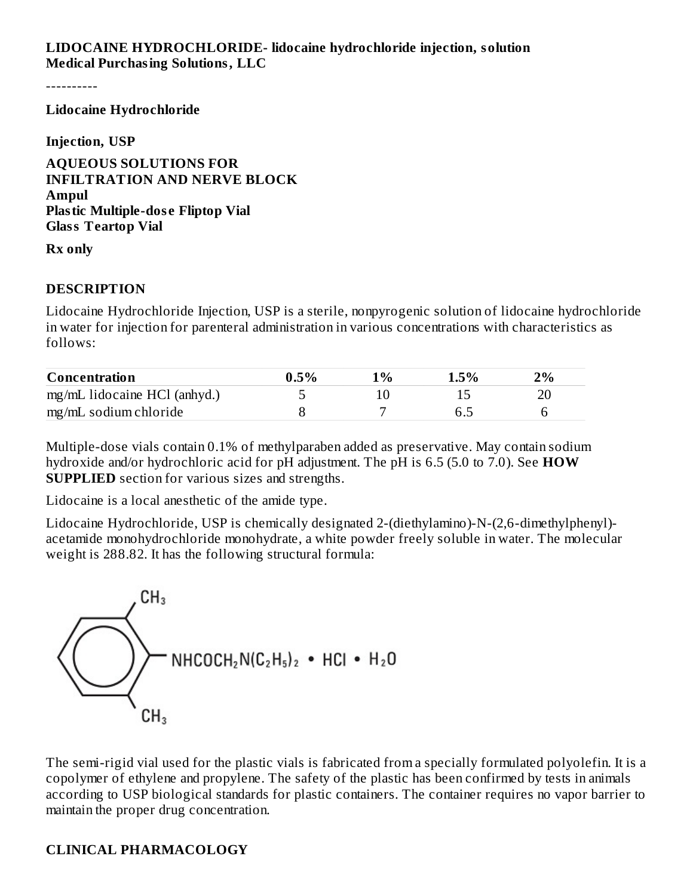**LIDOCAINE HYDROCHLORIDE- lidocaine hydrochloride injection, solution Medical Purchasing Solutions, LLC**

----------

**Lidocaine Hydrochloride**

**Injection, USP**

**AQUEOUS SOLUTIONS FOR INFILTRATION AND NERVE BLOCK Ampul Plastic Multiple-dos e Fliptop Vial Glass Teartop Vial**

**Rx only**

#### **DESCRIPTION**

Lidocaine Hydrochloride Injection, USP is a sterile, nonpyrogenic solution of lidocaine hydrochloride in water for injection for parenteral administration in various concentrations with characteristics as follows:

| Concentration                | $0.5\%$ | 1% | $1.5\%$ | 2% |
|------------------------------|---------|----|---------|----|
| mg/mL lidocaine HCl (anhyd.) |         |    |         |    |
| mg/mL sodium chloride        |         |    |         |    |

Multiple-dose vials contain 0.1% of methylparaben added as preservative. May contain sodium hydroxide and/or hydrochloric acid for pH adjustment. The pH is 6.5 (5.0 to 7.0). See **HOW SUPPLIED** section for various sizes and strengths.

Lidocaine is a local anesthetic of the amide type.

Lidocaine Hydrochloride, USP is chemically designated 2-(diethylamino)-N-(2,6-dimethylphenyl) acetamide monohydrochloride monohydrate, a white powder freely soluble in water. The molecular weight is 288.82. It has the following structural formula:



The semi-rigid vial used for the plastic vials is fabricated from a specially formulated polyolefin. It is a copolymer of ethylene and propylene. The safety of the plastic has been confirmed by tests in animals according to USP biological standards for plastic containers. The container requires no vapor barrier to maintain the proper drug concentration.

#### **CLINICAL PHARMACOLOGY**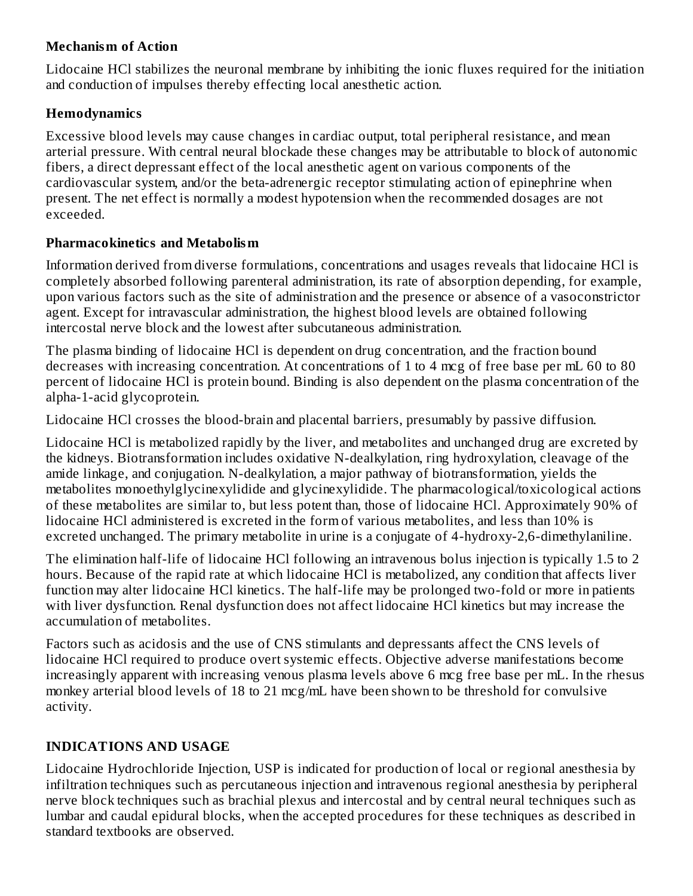#### **Mechanism of Action**

Lidocaine HCl stabilizes the neuronal membrane by inhibiting the ionic fluxes required for the initiation and conduction of impulses thereby effecting local anesthetic action.

### **Hemodynamics**

Excessive blood levels may cause changes in cardiac output, total peripheral resistance, and mean arterial pressure. With central neural blockade these changes may be attributable to block of autonomic fibers, a direct depressant effect of the local anesthetic agent on various components of the cardiovascular system, and/or the beta-adrenergic receptor stimulating action of epinephrine when present. The net effect is normally a modest hypotension when the recommended dosages are not exceeded.

### **Pharmacokinetics and Metabolism**

Information derived from diverse formulations, concentrations and usages reveals that lidocaine HCl is completely absorbed following parenteral administration, its rate of absorption depending, for example, upon various factors such as the site of administration and the presence or absence of a vasoconstrictor agent. Except for intravascular administration, the highest blood levels are obtained following intercostal nerve block and the lowest after subcutaneous administration.

The plasma binding of lidocaine HCl is dependent on drug concentration, and the fraction bound decreases with increasing concentration. At concentrations of 1 to 4 mcg of free base per mL 60 to 80 percent of lidocaine HCl is protein bound. Binding is also dependent on the plasma concentration of the alpha-1-acid glycoprotein.

Lidocaine HCl crosses the blood-brain and placental barriers, presumably by passive diffusion.

Lidocaine HCl is metabolized rapidly by the liver, and metabolites and unchanged drug are excreted by the kidneys. Biotransformation includes oxidative N-dealkylation, ring hydroxylation, cleavage of the amide linkage, and conjugation. N-dealkylation, a major pathway of biotransformation, yields the metabolites monoethylglycinexylidide and glycinexylidide. The pharmacological/toxicological actions of these metabolites are similar to, but less potent than, those of lidocaine HCl. Approximately 90% of lidocaine HCl administered is excreted in the form of various metabolites, and less than 10% is excreted unchanged. The primary metabolite in urine is a conjugate of 4-hydroxy-2,6-dimethylaniline.

The elimination half-life of lidocaine HCl following an intravenous bolus injection is typically 1.5 to 2 hours. Because of the rapid rate at which lidocaine HCl is metabolized, any condition that affects liver function may alter lidocaine HCl kinetics. The half-life may be prolonged two-fold or more in patients with liver dysfunction. Renal dysfunction does not affect lidocaine HCl kinetics but may increase the accumulation of metabolites.

Factors such as acidosis and the use of CNS stimulants and depressants affect the CNS levels of lidocaine HCl required to produce overt systemic effects. Objective adverse manifestations become increasingly apparent with increasing venous plasma levels above 6 mcg free base per mL. In the rhesus monkey arterial blood levels of 18 to 21 mcg/mL have been shown to be threshold for convulsive activity.

# **INDICATIONS AND USAGE**

Lidocaine Hydrochloride Injection, USP is indicated for production of local or regional anesthesia by infiltration techniques such as percutaneous injection and intravenous regional anesthesia by peripheral nerve block techniques such as brachial plexus and intercostal and by central neural techniques such as lumbar and caudal epidural blocks, when the accepted procedures for these techniques as described in standard textbooks are observed.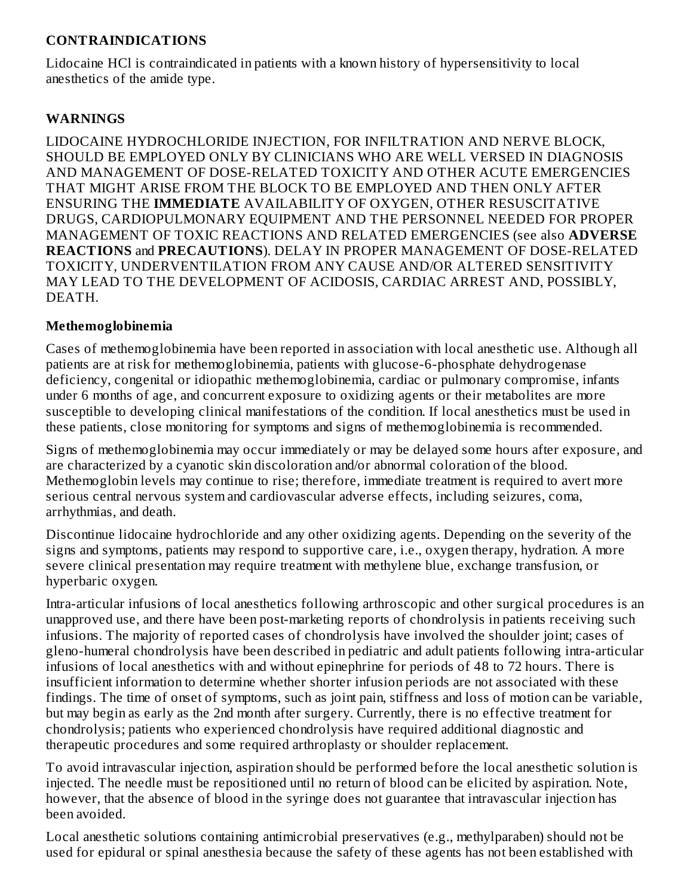#### **CONTRAINDICATIONS**

Lidocaine HCl is contraindicated in patients with a known history of hypersensitivity to local anesthetics of the amide type.

#### **WARNINGS**

LIDOCAINE HYDROCHLORIDE INJECTION, FOR INFILTRATION AND NERVE BLOCK, SHOULD BE EMPLOYED ONLY BY CLINICIANS WHO ARE WELL VERSED IN DIAGNOSIS AND MANAGEMENT OF DOSE-RELATED TOXICITY AND OTHER ACUTE EMERGENCIES THAT MIGHT ARISE FROM THE BLOCK TO BE EMPLOYED AND THEN ONLY AFTER ENSURING THE **IMMEDIATE** AVAILABILITY OF OXYGEN, OTHER RESUSCITATIVE DRUGS, CARDIOPULMONARY EQUIPMENT AND THE PERSONNEL NEEDED FOR PROPER MANAGEMENT OF TOXIC REACTIONS AND RELATED EMERGENCIES (see also **ADVERSE REACTIONS** and **PRECAUTIONS**). DELAY IN PROPER MANAGEMENT OF DOSE-RELATED TOXICITY, UNDERVENTILATION FROM ANY CAUSE AND/OR ALTERED SENSITIVITY MAY LEAD TO THE DEVELOPMENT OF ACIDOSIS, CARDIAC ARREST AND, POSSIBLY, DEATH.

#### **Methemoglobinemia**

Cases of methemoglobinemia have been reported in association with local anesthetic use. Although all patients are at risk for methemoglobinemia, patients with glucose-6-phosphate dehydrogenase deficiency, congenital or idiopathic methemoglobinemia, cardiac or pulmonary compromise, infants under 6 months of age, and concurrent exposure to oxidizing agents or their metabolites are more susceptible to developing clinical manifestations of the condition. If local anesthetics must be used in these patients, close monitoring for symptoms and signs of methemoglobinemia is recommended.

Signs of methemoglobinemia may occur immediately or may be delayed some hours after exposure, and are characterized by a cyanotic skin discoloration and/or abnormal coloration of the blood. Methemoglobin levels may continue to rise; therefore, immediate treatment is required to avert more serious central nervous system and cardiovascular adverse effects, including seizures, coma, arrhythmias, and death.

Discontinue lidocaine hydrochloride and any other oxidizing agents. Depending on the severity of the signs and symptoms, patients may respond to supportive care, i.e., oxygen therapy, hydration. A more severe clinical presentation may require treatment with methylene blue, exchange transfusion, or hyperbaric oxygen.

Intra-articular infusions of local anesthetics following arthroscopic and other surgical procedures is an unapproved use, and there have been post-marketing reports of chondrolysis in patients receiving such infusions. The majority of reported cases of chondrolysis have involved the shoulder joint; cases of gleno-humeral chondrolysis have been described in pediatric and adult patients following intra-articular infusions of local anesthetics with and without epinephrine for periods of 48 to 72 hours. There is insufficient information to determine whether shorter infusion periods are not associated with these findings. The time of onset of symptoms, such as joint pain, stiffness and loss of motion can be variable, but may begin as early as the 2nd month after surgery. Currently, there is no effective treatment for chondrolysis; patients who experienced chondrolysis have required additional diagnostic and therapeutic procedures and some required arthroplasty or shoulder replacement.

To avoid intravascular injection, aspiration should be performed before the local anesthetic solution is injected. The needle must be repositioned until no return of blood can be elicited by aspiration. Note, however, that the absence of blood in the syringe does not guarantee that intravascular injection has been avoided.

Local anesthetic solutions containing antimicrobial preservatives (e.g., methylparaben) should not be used for epidural or spinal anesthesia because the safety of these agents has not been established with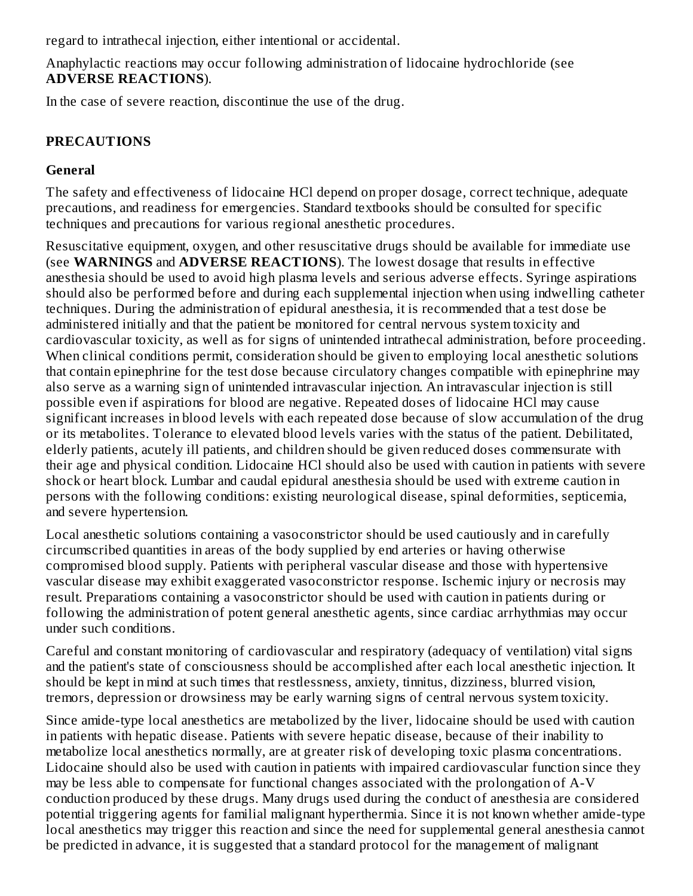regard to intrathecal injection, either intentional or accidental.

Anaphylactic reactions may occur following administration of lidocaine hydrochloride (see **ADVERSE REACTIONS**).

In the case of severe reaction, discontinue the use of the drug.

### **PRECAUTIONS**

#### **General**

The safety and effectiveness of lidocaine HCl depend on proper dosage, correct technique, adequate precautions, and readiness for emergencies. Standard textbooks should be consulted for specific techniques and precautions for various regional anesthetic procedures.

Resuscitative equipment, oxygen, and other resuscitative drugs should be available for immediate use (see **WARNINGS** and **ADVERSE REACTIONS**). The lowest dosage that results in effective anesthesia should be used to avoid high plasma levels and serious adverse effects. Syringe aspirations should also be performed before and during each supplemental injection when using indwelling catheter techniques. During the administration of epidural anesthesia, it is recommended that a test dose be administered initially and that the patient be monitored for central nervous system toxicity and cardiovascular toxicity, as well as for signs of unintended intrathecal administration, before proceeding. When clinical conditions permit, consideration should be given to employing local anesthetic solutions that contain epinephrine for the test dose because circulatory changes compatible with epinephrine may also serve as a warning sign of unintended intravascular injection. An intravascular injection is still possible even if aspirations for blood are negative. Repeated doses of lidocaine HCl may cause significant increases in blood levels with each repeated dose because of slow accumulation of the drug or its metabolites. Tolerance to elevated blood levels varies with the status of the patient. Debilitated, elderly patients, acutely ill patients, and children should be given reduced doses commensurate with their age and physical condition. Lidocaine HCl should also be used with caution in patients with severe shock or heart block. Lumbar and caudal epidural anesthesia should be used with extreme caution in persons with the following conditions: existing neurological disease, spinal deformities, septicemia, and severe hypertension.

Local anesthetic solutions containing a vasoconstrictor should be used cautiously and in carefully circumscribed quantities in areas of the body supplied by end arteries or having otherwise compromised blood supply. Patients with peripheral vascular disease and those with hypertensive vascular disease may exhibit exaggerated vasoconstrictor response. Ischemic injury or necrosis may result. Preparations containing a vasoconstrictor should be used with caution in patients during or following the administration of potent general anesthetic agents, since cardiac arrhythmias may occur under such conditions.

Careful and constant monitoring of cardiovascular and respiratory (adequacy of ventilation) vital signs and the patient's state of consciousness should be accomplished after each local anesthetic injection. It should be kept in mind at such times that restlessness, anxiety, tinnitus, dizziness, blurred vision, tremors, depression or drowsiness may be early warning signs of central nervous system toxicity.

Since amide-type local anesthetics are metabolized by the liver, lidocaine should be used with caution in patients with hepatic disease. Patients with severe hepatic disease, because of their inability to metabolize local anesthetics normally, are at greater risk of developing toxic plasma concentrations. Lidocaine should also be used with caution in patients with impaired cardiovascular function since they may be less able to compensate for functional changes associated with the prolongation of A-V conduction produced by these drugs. Many drugs used during the conduct of anesthesia are considered potential triggering agents for familial malignant hyperthermia. Since it is not known whether amide-type local anesthetics may trigger this reaction and since the need for supplemental general anesthesia cannot be predicted in advance, it is suggested that a standard protocol for the management of malignant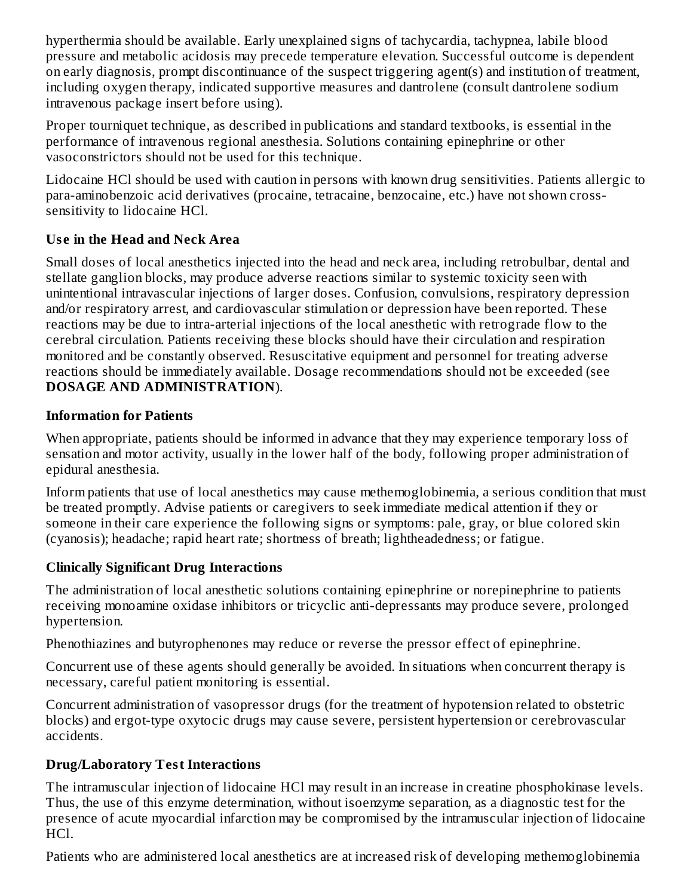hyperthermia should be available. Early unexplained signs of tachycardia, tachypnea, labile blood pressure and metabolic acidosis may precede temperature elevation. Successful outcome is dependent on early diagnosis, prompt discontinuance of the suspect triggering agent(s) and institution of treatment, including oxygen therapy, indicated supportive measures and dantrolene (consult dantrolene sodium intravenous package insert before using).

Proper tourniquet technique, as described in publications and standard textbooks, is essential in the performance of intravenous regional anesthesia. Solutions containing epinephrine or other vasoconstrictors should not be used for this technique.

Lidocaine HCl should be used with caution in persons with known drug sensitivities. Patients allergic to para-aminobenzoic acid derivatives (procaine, tetracaine, benzocaine, etc.) have not shown crosssensitivity to lidocaine HCl.

### **Us e in the Head and Neck Area**

Small doses of local anesthetics injected into the head and neck area, including retrobulbar, dental and stellate ganglion blocks, may produce adverse reactions similar to systemic toxicity seen with unintentional intravascular injections of larger doses. Confusion, convulsions, respiratory depression and/or respiratory arrest, and cardiovascular stimulation or depression have been reported. These reactions may be due to intra-arterial injections of the local anesthetic with retrograde flow to the cerebral circulation. Patients receiving these blocks should have their circulation and respiration monitored and be constantly observed. Resuscitative equipment and personnel for treating adverse reactions should be immediately available. Dosage recommendations should not be exceeded (see **DOSAGE AND ADMINISTRATION**).

### **Information for Patients**

When appropriate, patients should be informed in advance that they may experience temporary loss of sensation and motor activity, usually in the lower half of the body, following proper administration of epidural anesthesia.

Inform patients that use of local anesthetics may cause methemoglobinemia, a serious condition that must be treated promptly. Advise patients or caregivers to seek immediate medical attention if they or someone in their care experience the following signs or symptoms: pale, gray, or blue colored skin (cyanosis); headache; rapid heart rate; shortness of breath; lightheadedness; or fatigue.

### **Clinically Significant Drug Interactions**

The administration of local anesthetic solutions containing epinephrine or norepinephrine to patients receiving monoamine oxidase inhibitors or tricyclic anti-depressants may produce severe, prolonged hypertension.

Phenothiazines and butyrophenones may reduce or reverse the pressor effect of epinephrine.

Concurrent use of these agents should generally be avoided. In situations when concurrent therapy is necessary, careful patient monitoring is essential.

Concurrent administration of vasopressor drugs (for the treatment of hypotension related to obstetric blocks) and ergot-type oxytocic drugs may cause severe, persistent hypertension or cerebrovascular accidents.

# **Drug/Laboratory Test Interactions**

The intramuscular injection of lidocaine HCl may result in an increase in creatine phosphokinase levels. Thus, the use of this enzyme determination, without isoenzyme separation, as a diagnostic test for the presence of acute myocardial infarction may be compromised by the intramuscular injection of lidocaine HCl.

Patients who are administered local anesthetics are at increased risk of developing methemoglobinemia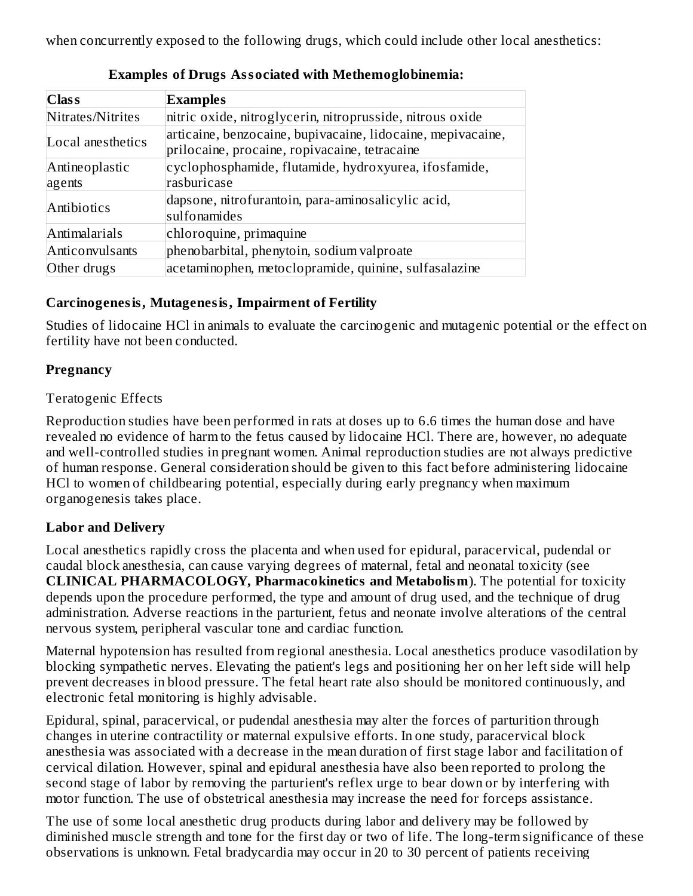when concurrently exposed to the following drugs, which could include other local anesthetics:

| $Cl$ ass                 | <b>Examples</b>                                                                                              |
|--------------------------|--------------------------------------------------------------------------------------------------------------|
| Nitrates/Nitrites        | nitric oxide, nitroglycerin, nitroprusside, nitrous oxide                                                    |
| Local anesthetics        | articaine, benzocaine, bupivacaine, lidocaine, mepivacaine,<br>prilocaine, procaine, ropivacaine, tetracaine |
| Antineoplastic<br>agents | cyclophosphamide, flutamide, hydroxyurea, ifosfamide,<br>rasburicase                                         |
| <b>Antibiotics</b>       | dapsone, nitrofurantoin, para-aminosalicylic acid,<br>sulfonamides                                           |
| Antimalarials            | chloroquine, primaquine                                                                                      |
| Anticonvulsants          | phenobarbital, phenytoin, sodium valproate                                                                   |
| Other drugs              | acetaminophen, metoclopramide, quinine, sulfasalazine                                                        |

**Examples of Drugs Associated with Methemoglobinemia:**

#### **Carcinogenesis, Mutagenesis, Impairment of Fertility**

Studies of lidocaine HCl in animals to evaluate the carcinogenic and mutagenic potential or the effect on fertility have not been conducted.

#### **Pregnancy**

#### Teratogenic Effects

Reproduction studies have been performed in rats at doses up to 6.6 times the human dose and have revealed no evidence of harm to the fetus caused by lidocaine HCl. There are, however, no adequate and well-controlled studies in pregnant women. Animal reproduction studies are not always predictive of human response. General consideration should be given to this fact before administering lidocaine HCl to women of childbearing potential, especially during early pregnancy when maximum organogenesis takes place.

### **Labor and Delivery**

Local anesthetics rapidly cross the placenta and when used for epidural, paracervical, pudendal or caudal block anesthesia, can cause varying degrees of maternal, fetal and neonatal toxicity (see **CLINICAL PHARMACOLOGY, Pharmacokinetics and Metabolism**). The potential for toxicity depends upon the procedure performed, the type and amount of drug used, and the technique of drug administration. Adverse reactions in the parturient, fetus and neonate involve alterations of the central nervous system, peripheral vascular tone and cardiac function.

Maternal hypotension has resulted from regional anesthesia. Local anesthetics produce vasodilation by blocking sympathetic nerves. Elevating the patient's legs and positioning her on her left side will help prevent decreases in blood pressure. The fetal heart rate also should be monitored continuously, and electronic fetal monitoring is highly advisable.

Epidural, spinal, paracervical, or pudendal anesthesia may alter the forces of parturition through changes in uterine contractility or maternal expulsive efforts. In one study, paracervical block anesthesia was associated with a decrease in the mean duration of first stage labor and facilitation of cervical dilation. However, spinal and epidural anesthesia have also been reported to prolong the second stage of labor by removing the parturient's reflex urge to bear down or by interfering with motor function. The use of obstetrical anesthesia may increase the need for forceps assistance.

The use of some local anesthetic drug products during labor and delivery may be followed by diminished muscle strength and tone for the first day or two of life. The long-term significance of these observations is unknown. Fetal bradycardia may occur in 20 to 30 percent of patients receiving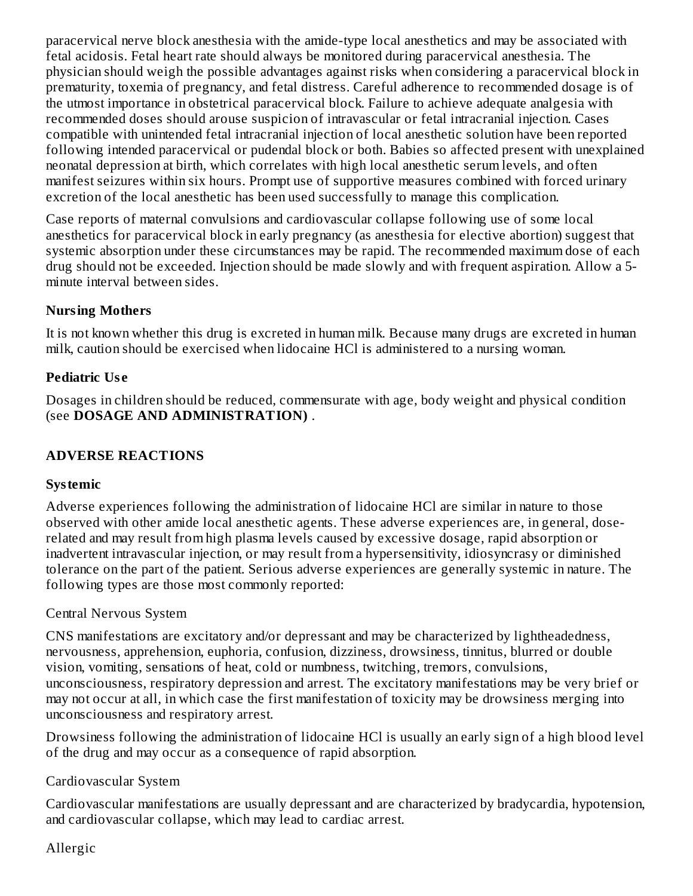paracervical nerve block anesthesia with the amide-type local anesthetics and may be associated with fetal acidosis. Fetal heart rate should always be monitored during paracervical anesthesia. The physician should weigh the possible advantages against risks when considering a paracervical block in prematurity, toxemia of pregnancy, and fetal distress. Careful adherence to recommended dosage is of the utmost importance in obstetrical paracervical block. Failure to achieve adequate analgesia with recommended doses should arouse suspicion of intravascular or fetal intracranial injection. Cases compatible with unintended fetal intracranial injection of local anesthetic solution have been reported following intended paracervical or pudendal block or both. Babies so affected present with unexplained neonatal depression at birth, which correlates with high local anesthetic serum levels, and often manifest seizures within six hours. Prompt use of supportive measures combined with forced urinary excretion of the local anesthetic has been used successfully to manage this complication.

Case reports of maternal convulsions and cardiovascular collapse following use of some local anesthetics for paracervical block in early pregnancy (as anesthesia for elective abortion) suggest that systemic absorption under these circumstances may be rapid. The recommended maximum dose of each drug should not be exceeded. Injection should be made slowly and with frequent aspiration. Allow a 5 minute interval between sides.

#### **Nursing Mothers**

It is not known whether this drug is excreted in human milk. Because many drugs are excreted in human milk, caution should be exercised when lidocaine HCl is administered to a nursing woman.

#### **Pediatric Us e**

Dosages in children should be reduced, commensurate with age, body weight and physical condition (see **DOSAGE AND ADMINISTRATION)** .

### **ADVERSE REACTIONS**

#### **Systemic**

Adverse experiences following the administration of lidocaine HCl are similar in nature to those observed with other amide local anesthetic agents. These adverse experiences are, in general, doserelated and may result from high plasma levels caused by excessive dosage, rapid absorption or inadvertent intravascular injection, or may result from a hypersensitivity, idiosyncrasy or diminished tolerance on the part of the patient. Serious adverse experiences are generally systemic in nature. The following types are those most commonly reported:

### Central Nervous System

CNS manifestations are excitatory and/or depressant and may be characterized by lightheadedness, nervousness, apprehension, euphoria, confusion, dizziness, drowsiness, tinnitus, blurred or double vision, vomiting, sensations of heat, cold or numbness, twitching, tremors, convulsions, unconsciousness, respiratory depression and arrest. The excitatory manifestations may be very brief or may not occur at all, in which case the first manifestation of toxicity may be drowsiness merging into unconsciousness and respiratory arrest.

Drowsiness following the administration of lidocaine HCl is usually an early sign of a high blood level of the drug and may occur as a consequence of rapid absorption.

#### Cardiovascular System

Cardiovascular manifestations are usually depressant and are characterized by bradycardia, hypotension, and cardiovascular collapse, which may lead to cardiac arrest.

Allergic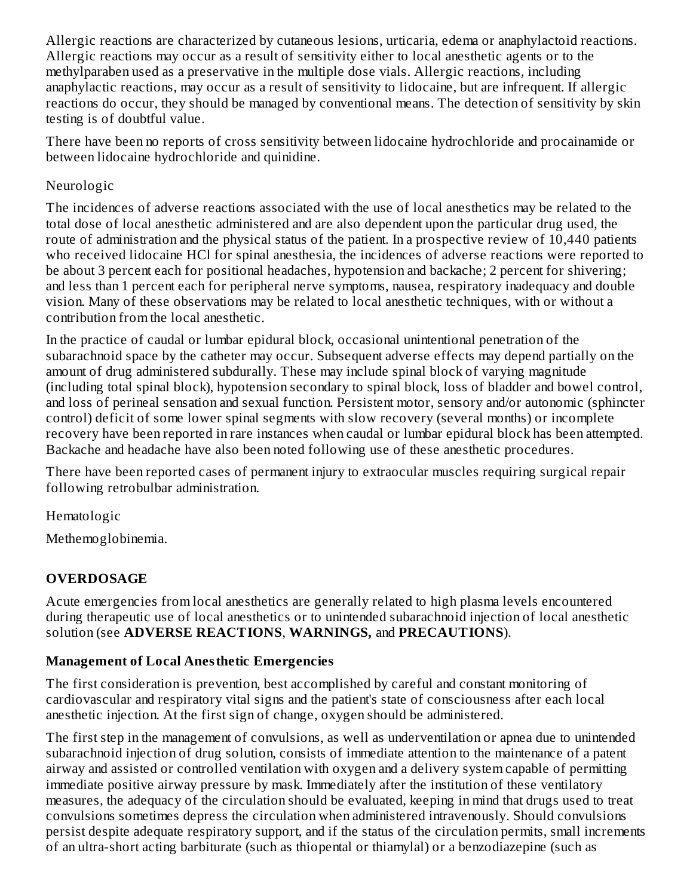Allergic reactions are characterized by cutaneous lesions, urticaria, edema or anaphylactoid reactions. Allergic reactions may occur as a result of sensitivity either to local anesthetic agents or to the methylparaben used as a preservative in the multiple dose vials. Allergic reactions, including anaphylactic reactions, may occur as a result of sensitivity to lidocaine, but are infrequent. If allergic reactions do occur, they should be managed by conventional means. The detection of sensitivity by skin testing is of doubtful value.

There have been no reports of cross sensitivity between lidocaine hydrochloride and procainamide or between lidocaine hydrochloride and quinidine.

### Neurologic

The incidences of adverse reactions associated with the use of local anesthetics may be related to the total dose of local anesthetic administered and are also dependent upon the particular drug used, the route of administration and the physical status of the patient. In a prospective review of 10,440 patients who received lidocaine HCl for spinal anesthesia, the incidences of adverse reactions were reported to be about 3 percent each for positional headaches, hypotension and backache; 2 percent for shivering; and less than 1 percent each for peripheral nerve symptoms, nausea, respiratory inadequacy and double vision. Many of these observations may be related to local anesthetic techniques, with or without a contribution from the local anesthetic.

In the practice of caudal or lumbar epidural block, occasional unintentional penetration of the subarachnoid space by the catheter may occur. Subsequent adverse effects may depend partially on the amount of drug administered subdurally. These may include spinal block of varying magnitude (including total spinal block), hypotension secondary to spinal block, loss of bladder and bowel control, and loss of perineal sensation and sexual function. Persistent motor, sensory and/or autonomic (sphincter control) deficit of some lower spinal segments with slow recovery (several months) or incomplete recovery have been reported in rare instances when caudal or lumbar epidural block has been attempted. Backache and headache have also been noted following use of these anesthetic procedures.

There have been reported cases of permanent injury to extraocular muscles requiring surgical repair following retrobulbar administration.

Hematologic

Methemoglobinemia.

# **OVERDOSAGE**

Acute emergencies from local anesthetics are generally related to high plasma levels encountered during therapeutic use of local anesthetics or to unintended subarachnoid injection of local anesthetic solution (see **ADVERSE REACTIONS**, **WARNINGS,** and **PRECAUTIONS**).

#### **Management of Local Anesthetic Emergencies**

The first consideration is prevention, best accomplished by careful and constant monitoring of cardiovascular and respiratory vital signs and the patient's state of consciousness after each local anesthetic injection. At the first sign of change, oxygen should be administered.

The first step in the management of convulsions, as well as underventilation or apnea due to unintended subarachnoid injection of drug solution, consists of immediate attention to the maintenance of a patent airway and assisted or controlled ventilation with oxygen and a delivery system capable of permitting immediate positive airway pressure by mask. Immediately after the institution of these ventilatory measures, the adequacy of the circulation should be evaluated, keeping in mind that drugs used to treat convulsions sometimes depress the circulation when administered intravenously. Should convulsions persist despite adequate respiratory support, and if the status of the circulation permits, small increments of an ultra-short acting barbiturate (such as thiopental or thiamylal) or a benzodiazepine (such as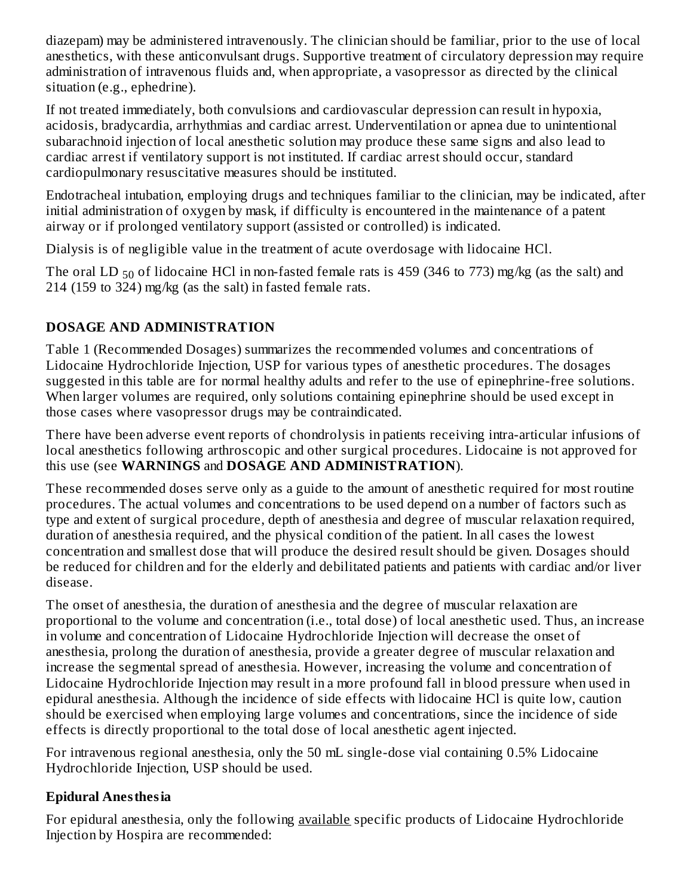diazepam) may be administered intravenously. The clinician should be familiar, prior to the use of local anesthetics, with these anticonvulsant drugs. Supportive treatment of circulatory depression may require administration of intravenous fluids and, when appropriate, a vasopressor as directed by the clinical situation (e.g., ephedrine).

If not treated immediately, both convulsions and cardiovascular depression can result in hypoxia, acidosis, bradycardia, arrhythmias and cardiac arrest. Underventilation or apnea due to unintentional subarachnoid injection of local anesthetic solution may produce these same signs and also lead to cardiac arrest if ventilatory support is not instituted. If cardiac arrest should occur, standard cardiopulmonary resuscitative measures should be instituted.

Endotracheal intubation, employing drugs and techniques familiar to the clinician, may be indicated, after initial administration of oxygen by mask, if difficulty is encountered in the maintenance of a patent airway or if prolonged ventilatory support (assisted or controlled) is indicated.

Dialysis is of negligible value in the treatment of acute overdosage with lidocaine HCl.

The oral LD  $_{50}$  of lidocaine HCl in non-fasted female rats is 459 (346 to 773) mg/kg (as the salt) and 214 (159 to 324) mg/kg (as the salt) in fasted female rats.

# **DOSAGE AND ADMINISTRATION**

Table 1 (Recommended Dosages) summarizes the recommended volumes and concentrations of Lidocaine Hydrochloride Injection, USP for various types of anesthetic procedures. The dosages suggested in this table are for normal healthy adults and refer to the use of epinephrine-free solutions. When larger volumes are required, only solutions containing epinephrine should be used except in those cases where vasopressor drugs may be contraindicated.

There have been adverse event reports of chondrolysis in patients receiving intra-articular infusions of local anesthetics following arthroscopic and other surgical procedures. Lidocaine is not approved for this use (see **WARNINGS** and **DOSAGE AND ADMINISTRATION**).

These recommended doses serve only as a guide to the amount of anesthetic required for most routine procedures. The actual volumes and concentrations to be used depend on a number of factors such as type and extent of surgical procedure, depth of anesthesia and degree of muscular relaxation required, duration of anesthesia required, and the physical condition of the patient. In all cases the lowest concentration and smallest dose that will produce the desired result should be given. Dosages should be reduced for children and for the elderly and debilitated patients and patients with cardiac and/or liver disease.

The onset of anesthesia, the duration of anesthesia and the degree of muscular relaxation are proportional to the volume and concentration (i.e., total dose) of local anesthetic used. Thus, an increase in volume and concentration of Lidocaine Hydrochloride Injection will decrease the onset of anesthesia, prolong the duration of anesthesia, provide a greater degree of muscular relaxation and increase the segmental spread of anesthesia. However, increasing the volume and concentration of Lidocaine Hydrochloride Injection may result in a more profound fall in blood pressure when used in epidural anesthesia. Although the incidence of side effects with lidocaine HCl is quite low, caution should be exercised when employing large volumes and concentrations, since the incidence of side effects is directly proportional to the total dose of local anesthetic agent injected.

For intravenous regional anesthesia, only the 50 mL single-dose vial containing 0.5% Lidocaine Hydrochloride Injection, USP should be used.

# **Epidural Anesthesia**

For epidural anesthesia, only the following available specific products of Lidocaine Hydrochloride Injection by Hospira are recommended: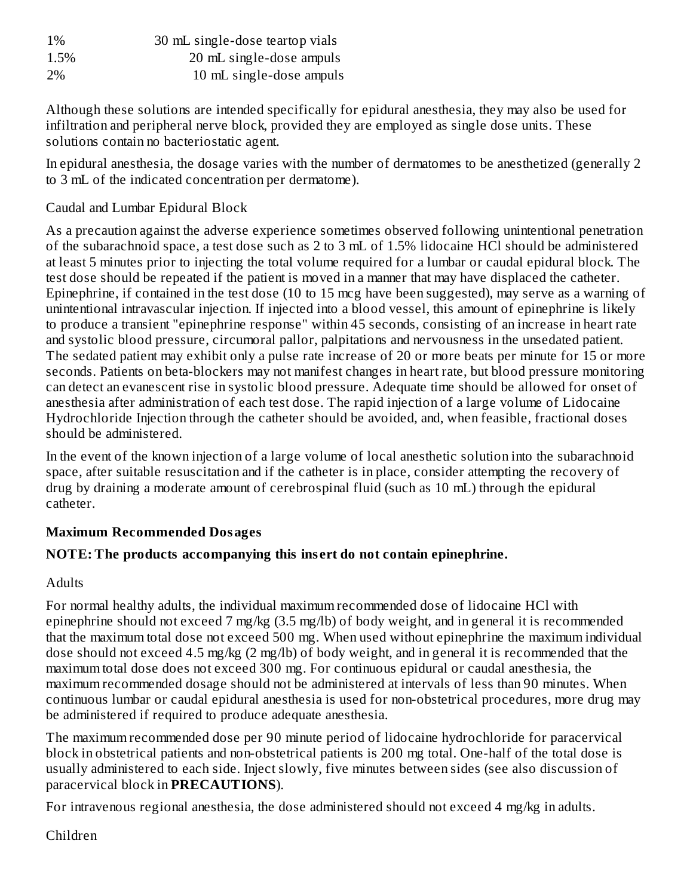| 1%   | 30 mL single-dose teartop vials |
|------|---------------------------------|
| 1.5% | 20 mL single-dose ampuls        |
| 2%   | 10 mL single-dose ampuls        |

Although these solutions are intended specifically for epidural anesthesia, they may also be used for infiltration and peripheral nerve block, provided they are employed as single dose units. These solutions contain no bacteriostatic agent.

In epidural anesthesia, the dosage varies with the number of dermatomes to be anesthetized (generally 2 to 3 mL of the indicated concentration per dermatome).

### Caudal and Lumbar Epidural Block

As a precaution against the adverse experience sometimes observed following unintentional penetration of the subarachnoid space, a test dose such as 2 to 3 mL of 1.5% lidocaine HCl should be administered at least 5 minutes prior to injecting the total volume required for a lumbar or caudal epidural block. The test dose should be repeated if the patient is moved in a manner that may have displaced the catheter. Epinephrine, if contained in the test dose (10 to 15 mcg have been suggested), may serve as a warning of unintentional intravascular injection. If injected into a blood vessel, this amount of epinephrine is likely to produce a transient "epinephrine response" within 45 seconds, consisting of an increase in heart rate and systolic blood pressure, circumoral pallor, palpitations and nervousness in the unsedated patient. The sedated patient may exhibit only a pulse rate increase of 20 or more beats per minute for 15 or more seconds. Patients on beta-blockers may not manifest changes in heart rate, but blood pressure monitoring can detect an evanescent rise in systolic blood pressure. Adequate time should be allowed for onset of anesthesia after administration of each test dose. The rapid injection of a large volume of Lidocaine Hydrochloride Injection through the catheter should be avoided, and, when feasible, fractional doses should be administered.

In the event of the known injection of a large volume of local anesthetic solution into the subarachnoid space, after suitable resuscitation and if the catheter is in place, consider attempting the recovery of drug by draining a moderate amount of cerebrospinal fluid (such as 10 mL) through the epidural catheter.

### **Maximum Recommended Dosages**

### **NOTE: The products accompanying this ins ert do not contain epinephrine.**

#### **Adults**

For normal healthy adults, the individual maximum recommended dose of lidocaine HCl with epinephrine should not exceed 7 mg/kg (3.5 mg/lb) of body weight, and in general it is recommended that the maximum total dose not exceed 500 mg. When used without epinephrine the maximum individual dose should not exceed 4.5 mg/kg (2 mg/lb) of body weight, and in general it is recommended that the maximum total dose does not exceed 300 mg. For continuous epidural or caudal anesthesia, the maximum recommended dosage should not be administered at intervals of less than 90 minutes. When continuous lumbar or caudal epidural anesthesia is used for non-obstetrical procedures, more drug may be administered if required to produce adequate anesthesia.

The maximum recommended dose per 90 minute period of lidocaine hydrochloride for paracervical block in obstetrical patients and non-obstetrical patients is 200 mg total. One-half of the total dose is usually administered to each side. Inject slowly, five minutes between sides (see also discussion of paracervical block in **PRECAUTIONS**).

For intravenous regional anesthesia, the dose administered should not exceed 4 mg/kg in adults.

#### Children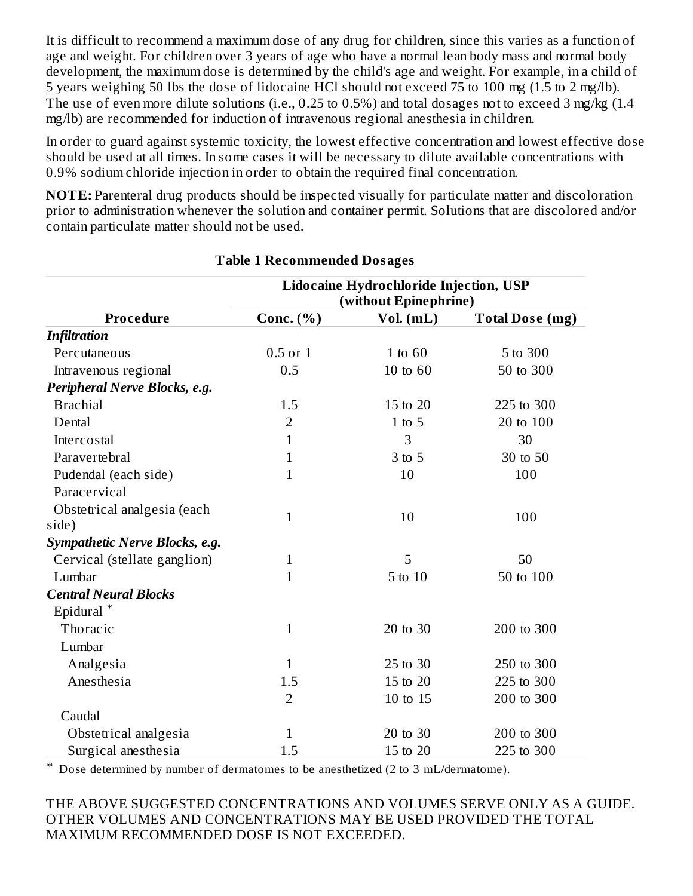It is difficult to recommend a maximum dose of any drug for children, since this varies as a function of age and weight. For children over 3 years of age who have a normal lean body mass and normal body development, the maximum dose is determined by the child's age and weight. For example, in a child of 5 years weighing 50 lbs the dose of lidocaine HCl should not exceed 75 to 100 mg (1.5 to 2 mg/lb). The use of even more dilute solutions (i.e., 0.25 to 0.5%) and total dosages not to exceed 3 mg/kg (1.4 mg/lb) are recommended for induction of intravenous regional anesthesia in children.

In order to guard against systemic toxicity, the lowest effective concentration and lowest effective dose should be used at all times. In some cases it will be necessary to dilute available concentrations with 0.9% sodium chloride injection in order to obtain the required final concentration.

**NOTE:** Parenteral drug products should be inspected visually for particulate matter and discoloration prior to administration whenever the solution and container permit. Solutions that are discolored and/or contain particulate matter should not be used.

|                                | Lidocaine Hydrochloride Injection, USP<br>(without Epinephrine) |            |                        |  |
|--------------------------------|-----------------------------------------------------------------|------------|------------------------|--|
| Procedure                      | Conc. $(\% )$                                                   | Vol. (mL)  | <b>Total Dose (mg)</b> |  |
| <b>Infiltration</b>            |                                                                 |            |                        |  |
| Percutaneous                   | 0.5 or 1                                                        | 1 to 60    | 5 to 300               |  |
| Intravenous regional           | 0.5                                                             | 10 to 60   | 50 to 300              |  |
| Peripheral Nerve Blocks, e.g.  |                                                                 |            |                        |  |
| <b>Brachial</b>                | 1.5                                                             | 15 to 20   | 225 to 300             |  |
| Dental                         | $\overline{2}$                                                  | $1$ to $5$ | 20 to 100              |  |
| Intercostal                    | $\mathbf{1}$                                                    | 3          | 30                     |  |
| Paravertebral                  | $\mathbf{1}$                                                    | 3 to 5     | 30 to 50               |  |
| Pudendal (each side)           | $\mathbf{1}$                                                    | 10         | 100                    |  |
| Paracervical                   |                                                                 |            |                        |  |
| Obstetrical analgesia (each    | $\mathbf{1}$                                                    | 10         | 100                    |  |
| side)                          |                                                                 |            |                        |  |
| Sympathetic Nerve Blocks, e.g. |                                                                 |            |                        |  |
| Cervical (stellate ganglion)   | $\mathbf{1}$                                                    | 5          | 50                     |  |
| Lumbar                         | $\mathbf{1}$                                                    | 5 to 10    | 50 to 100              |  |
| <b>Central Neural Blocks</b>   |                                                                 |            |                        |  |
| Epidural <sup>*</sup>          |                                                                 |            |                        |  |
| Thoracic                       | $\mathbf{1}$                                                    | 20 to 30   | 200 to 300             |  |
| Lumbar                         |                                                                 |            |                        |  |
| Analgesia                      | $\mathbf{1}$                                                    | 25 to 30   | 250 to 300             |  |
| Anesthesia                     | 1.5                                                             | 15 to 20   | 225 to 300             |  |
|                                | $\overline{2}$                                                  | 10 to 15   | 200 to 300             |  |
| Caudal                         |                                                                 |            |                        |  |
| Obstetrical analgesia          | $\mathbf{1}$                                                    | 20 to 30   | 200 to 300             |  |
| Surgical anesthesia            | 1.5                                                             | 15 to 20   | 225 to 300             |  |

#### **Table 1 Recommended Dosages**

\* Dose determined by number of dermatomes to be anesthetized (2 to 3 mL/dermatome).

THE ABOVE SUGGESTED CONCENTRATIONS AND VOLUMES SERVE ONLY AS A GUIDE. OTHER VOLUMES AND CONCENTRATIONS MAY BE USED PROVIDED THE TOTAL MAXIMUM RECOMMENDED DOSE IS NOT EXCEEDED.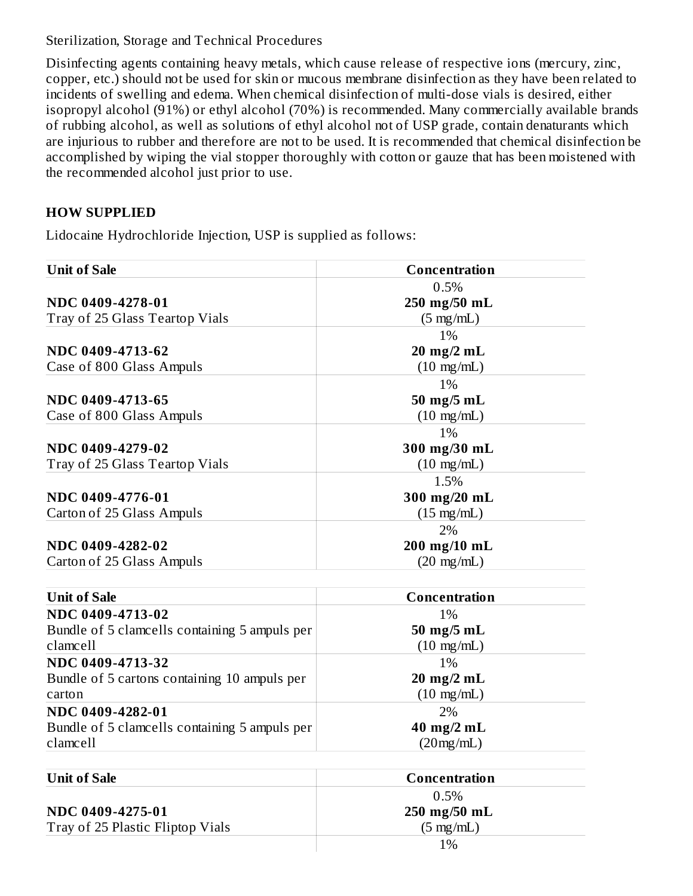Sterilization, Storage and Technical Procedures

Disinfecting agents containing heavy metals, which cause release of respective ions (mercury, zinc, copper, etc.) should not be used for skin or mucous membrane disinfection as they have been related to incidents of swelling and edema. When chemical disinfection of multi-dose vials is desired, either isopropyl alcohol (91%) or ethyl alcohol (70%) is recommended. Many commercially available brands of rubbing alcohol, as well as solutions of ethyl alcohol not of USP grade, contain denaturants which are injurious to rubber and therefore are not to be used. It is recommended that chemical disinfection be accomplished by wiping the vial stopper thoroughly with cotton or gauze that has been moistened with the recommended alcohol just prior to use.

#### **HOW SUPPLIED**

Lidocaine Hydrochloride Injection, USP is supplied as follows:

| <b>Unit of Sale</b>                           | Concentration        |
|-----------------------------------------------|----------------------|
|                                               | 0.5%                 |
| NDC 0409-4278-01                              | 250 mg/50 mL         |
| Tray of 25 Glass Teartop Vials                | $(5 \text{ mg/mL})$  |
|                                               | 1%                   |
| NDC 0409-4713-62                              | $20$ mg/2 mL         |
| Case of 800 Glass Ampuls                      | $(10 \text{ mg/mL})$ |
|                                               | 1%                   |
| NDC 0409-4713-65                              | 50 mg/5 mL           |
| Case of 800 Glass Ampuls                      | $(10 \text{ mg/mL})$ |
|                                               | 1%                   |
| NDC 0409-4279-02                              | 300 mg/30 mL         |
| Tray of 25 Glass Teartop Vials                | $(10 \text{ mg/mL})$ |
|                                               | 1.5%                 |
| NDC 0409-4776-01                              | 300 mg/20 mL         |
| Carton of 25 Glass Ampuls                     | $(15 \text{ mg/mL})$ |
|                                               | 2%                   |
| NDC 0409-4282-02                              | 200 mg/10 mL         |
| Carton of 25 Glass Ampuls                     | $(20 \text{ mg/mL})$ |
|                                               |                      |
| <b>Unit of Sale</b>                           | <b>Concentration</b> |
| NDC 0409-4713-02                              | 1%                   |
| Bundle of 5 clamcells containing 5 ampuls per | 50 mg/5 mL           |
| clamcell                                      | $(10 \text{ mg/mL})$ |
| NDC 0409-4713-32                              | 1%                   |
| Bundle of 5 cartons containing 10 ampuls per  | 20 mg/2 mL           |
| carton                                        | $(10 \text{ mg/mL})$ |
| NDC 0409-4282-01                              | 2%                   |
| Bundle of 5 clamcells containing 5 ampuls per | 40 mg/2 mL           |
| clamcell                                      | (20mg/mL)            |
| <b>Unit of Sale</b>                           | Concentration        |
|                                               | 0.5%                 |
| NDC 0409-4275-01                              | 250 mg/50 mL         |

Tray of 25 Plastic Fliptop Vials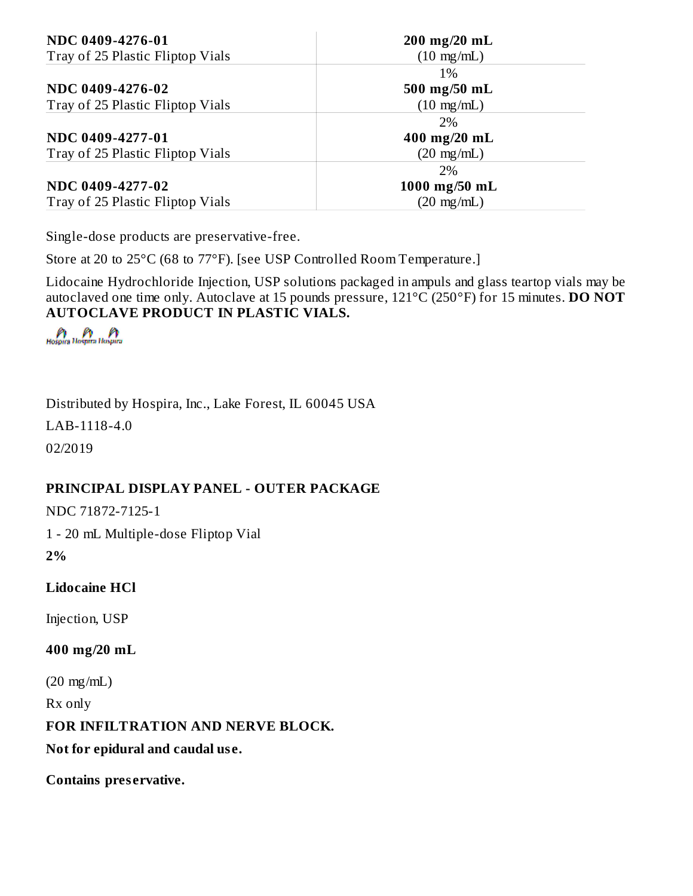| NDC 0409-4276-01                 | $200$ mg/20 mL       |
|----------------------------------|----------------------|
| Tray of 25 Plastic Fliptop Vials | $(10 \text{ mg/mL})$ |
|                                  | $1\%$                |
| NDC 0409-4276-02                 | 500 mg/50 mL         |
| Tray of 25 Plastic Fliptop Vials | $(10 \text{ mg/mL})$ |
|                                  | 2%                   |
| NDC 0409-4277-01                 | $400$ mg/20 mL       |
| Tray of 25 Plastic Fliptop Vials | $(20 \text{ mg/mL})$ |
|                                  | 2%                   |
| NDC 0409-4277-02                 | $1000$ mg/50 mL      |
| Tray of 25 Plastic Fliptop Vials | $(20 \text{ mg/mL})$ |

Single-dose products are preservative-free.

Store at 20 to 25°C (68 to 77°F). [see USP Controlled Room Temperature.]

Lidocaine Hydrochloride Injection, USP solutions packaged in ampuls and glass teartop vials may be autoclaved one time only. Autoclave at 15 pounds pressure, 121°C (250°F) for 15 minutes. **DO NOT AUTOCLAVE PRODUCT IN PLASTIC VIALS.**

Distributed by Hospira, Inc., Lake Forest, IL 60045 USA LAB-1118-4.0 02/2019

**PRINCIPAL DISPLAY PANEL - OUTER PACKAGE**

NDC 71872-7125-1

1 - 20 mL Multiple-dose Fliptop Vial

**2%**

**Lidocaine HCl**

Injection, USP

#### **400 mg/20 mL**

(20 mg/mL)

Rx only

**FOR INFILTRATION AND NERVE BLOCK.**

**Not for epidural and caudal us e.**

**Contains pres ervative.**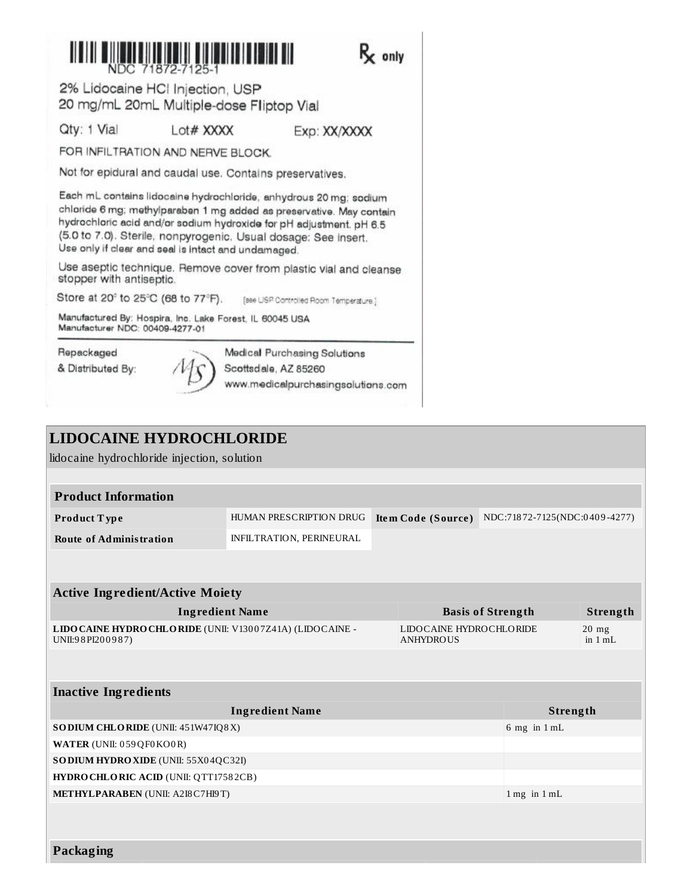

### **LIDOCAINE HYDROCHLORIDE**

lidocaine hydrochloride injection, solution

| <b>Product Information</b>     |                          |  |                                                         |  |  |
|--------------------------------|--------------------------|--|---------------------------------------------------------|--|--|
| <b>Product Type</b>            | HUMAN PRESCRIPTION DRUG  |  | <b>Item Code (Source)</b> NDC:71872-7125(NDC:0409-4277) |  |  |
| <b>Route of Administration</b> | INFILTRATION, PERINEURAL |  |                                                         |  |  |

| <b>Active Ingredient/Active Moiety</b>                                           |                                             |                      |  |  |
|----------------------------------------------------------------------------------|---------------------------------------------|----------------------|--|--|
| Ingredient Name                                                                  | <b>Basis of Strength</b>                    | Strength             |  |  |
| LIDO CAINE HYDRO CHLO RIDE (UNII: V13007Z41A) (LIDO CAINE -<br>UNII:98 PI200987) | LIDOCAINE HYDROCHLORIDE<br><b>ANHYDROUS</b> | $20$ mg<br>in $1$ mL |  |  |

| <b>Inactive Ingredients</b>                  |                                  |  |  |  |
|----------------------------------------------|----------------------------------|--|--|--|
| <b>Ingredient Name</b>                       | Strength                         |  |  |  |
| <b>SODIUM CHLORIDE</b> (UNII: 451W47IQ8X)    | $6$ mg in $1$ mL                 |  |  |  |
| WATER (UNII: 059 QF0 KO0 R)                  |                                  |  |  |  |
| SO DIUM HYDRO XIDE (UNII: 55X04QC32I)        |                                  |  |  |  |
| <b>HYDRO CHLORIC ACID (UNII: QTT17582CB)</b> |                                  |  |  |  |
| <b>METHYLPARABEN</b> (UNII: A2I8 C7H19T)     | $1 \text{ mg}$ in $1 \text{ mL}$ |  |  |  |
|                                              |                                  |  |  |  |
|                                              |                                  |  |  |  |

**Packaging**